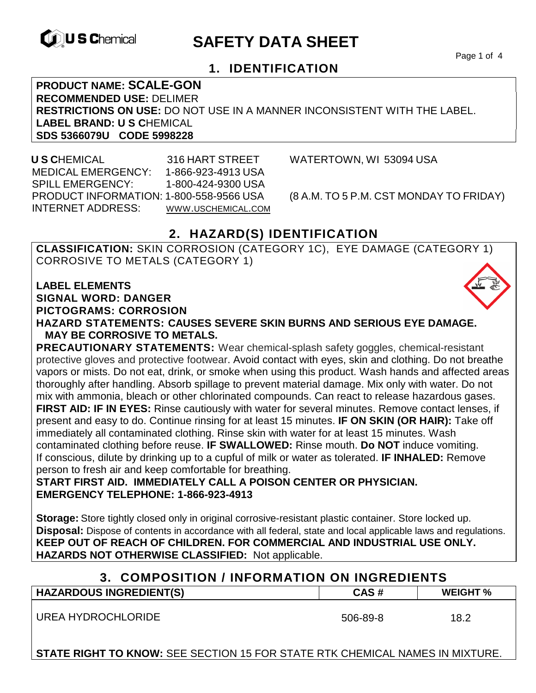

# **EXAMPLE THE SAFETY DATA SHEET**

Page 1 of 4

## **1. IDENTIFICATION**

**PRODUCT NAME: SCALE-GON RECOMMENDED USE:** DELIMER **RESTRICTIONS ON USE:** DO NOT USE IN A MANNER INCONSISTENT WITH THE LABEL. **LABEL BRAND: U S C**HEMICAL **SDS 5366079U CODE 5998228** 

 **U S C**HEMICAL 316 HART STREET WATERTOWN, WI 53094 USA MEDICAL EMERGENCY: 1-866-923-4913 USA SPILL EMERGENCY: 1-800-424-9300 USA PRODUCT INFORMATION: 1-800-558-9566 USA (8 A.M. TO 5 P.M. CST MONDAY TO FRIDAY) INTERNET ADDRESS: WWW.USCHEMICAL.COM

## **2. HAZARD(S) IDENTIFICATION**

**CLASSIFICATION:** SKIN CORROSION (CATEGORY 1C), EYE DAMAGE (CATEGORY 1) CORROSIVE TO METALS (CATEGORY 1)

**LABEL ELEMENTS SIGNAL WORD: DANGER PICTOGRAMS: CORROSION**

**HAZARD STATEMENTS: CAUSES SEVERE SKIN BURNS AND SERIOUS EYE DAMAGE. MAY BE CORROSIVE TO METALS.** 

**PRECAUTIONARY STATEMENTS:** Wear chemical-splash safety goggles, chemical-resistant protective gloves and protective footwear. Avoid contact with eyes, skin and clothing. Do not breathe vapors or mists. Do not eat, drink, or smoke when using this product. Wash hands and affected areas thoroughly after handling. Absorb spillage to prevent material damage. Mix only with water. Do not mix with ammonia, bleach or other chlorinated compounds. Can react to release hazardous gases. **FIRST AID: IF IN EYES:** Rinse cautiously with water for several minutes. Remove contact lenses, if present and easy to do. Continue rinsing for at least 15 minutes. **IF ON SKIN (OR HAIR):** Take off immediately all contaminated clothing. Rinse skin with water for at least 15 minutes. Wash contaminated clothing before reuse. **IF SWALLOWED:** Rinse mouth. **Do NOT** induce vomiting. If conscious, dilute by drinking up to a cupful of milk or water as tolerated. **IF INHALED:** Remove person to fresh air and keep comfortable for breathing.

**START FIRST AID. IMMEDIATELY CALL A POISON CENTER OR PHYSICIAN. EMERGENCY TELEPHONE: 1-866-923-4913** 

**Storage:** Store tightly closed only in original corrosive-resistant plastic container. Store locked up. **Disposal:** Dispose of contents in accordance with all federal, state and local applicable laws and regulations. **KEEP OUT OF REACH OF CHILDREN. FOR COMMERCIAL AND INDUSTRIAL USE ONLY. HAZARDS NOT OTHERWISE CLASSIFIED:** Not applicable.

### **3. COMPOSITION / INFORMATION ON INGREDIENTS**

| <b>HAZARDOUS INGREDIENT(S)</b> | CAS#     | <b>WEIGHT</b> % |
|--------------------------------|----------|-----------------|
| UREA HYDROCHLORIDE             | 506-89-8 | 18.2            |

**STATE RIGHT TO KNOW:** SEE SECTION 15 FOR STATE RTK CHEMICAL NAMES IN MIXTURE.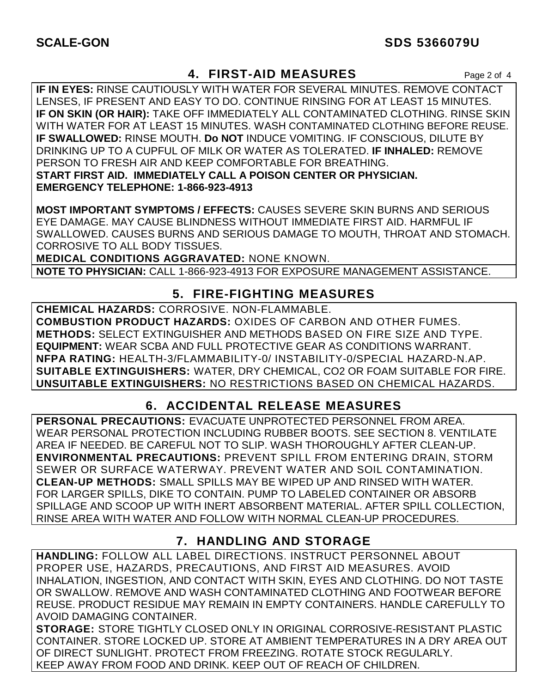## **4. FIRST-AID MEASURES** Page 2 of 4

**IF IN EYES:** RINSE CAUTIOUSLY WITH WATER FOR SEVERAL MINUTES. REMOVE CONTACT LENSES, IF PRESENT AND EASY TO DO. CONTINUE RINSING FOR AT LEAST 15 MINUTES. **IF ON SKIN (OR HAIR):** TAKE OFF IMMEDIATELY ALL CONTAMINATED CLOTHING. RINSE SKIN WITH WATER FOR AT LEAST 15 MINUTES. WASH CONTAMINATED CLOTHING BEFORE REUSE. **IF SWALLOWED:** RINSE MOUTH. **Do NOT** INDUCE VOMITING. IF CONSCIOUS, DILUTE BY DRINKING UP TO A CUPFUL OF MILK OR WATER AS TOLERATED. **IF INHALED:** REMOVE PERSON TO FRESH AIR AND KEEP COMFORTABLE FOR BREATHING. **START FIRST AID. IMMEDIATELY CALL A POISON CENTER OR PHYSICIAN. EMERGENCY TELEPHONE: 1-866-923-4913**

**MOST IMPORTANT SYMPTOMS / EFFECTS:** CAUSES SEVERE SKIN BURNS AND SERIOUS EYE DAMAGE. MAY CAUSE BLINDNESS WITHOUT IMMEDIATE FIRST AID. HARMFUL IF SWALLOWED. CAUSES BURNS AND SERIOUS DAMAGE TO MOUTH, THROAT AND STOMACH. CORROSIVE TO ALL BODY TISSUES.

**MEDICAL CONDITIONS AGGRAVATED:** NONE KNOWN. **NOTE TO PHYSICIAN:** CALL 1-866-923-4913 FOR EXPOSURE MANAGEMENT ASSISTANCE.

## **5. FIRE-FIGHTING MEASURES**

**CHEMICAL HAZARDS:** CORROSIVE. NON-FLAMMABLE. **COMBUSTION PRODUCT HAZARDS:** OXIDES OF CARBON AND OTHER FUMES. **METHODS:** SELECT EXTINGUISHER AND METHODS BASED ON FIRE SIZE AND TYPE. **EQUIPMENT:** WEAR SCBA AND FULL PROTECTIVE GEAR AS CONDITIONS WARRANT. **NFPA RATING:** HEALTH-3/FLAMMABILITY-0/ INSTABILITY-0/SPECIAL HAZARD-N.AP. **SUITABLE EXTINGUISHERS:** WATER, DRY CHEMICAL, CO2 OR FOAM SUITABLE FOR FIRE. **UNSUITABLE EXTINGUISHERS:** NO RESTRICTIONS BASED ON CHEMICAL HAZARDS.

## **6. ACCIDENTAL RELEASE MEASURES**

**PERSONAL PRECAUTIONS:** EVACUATE UNPROTECTED PERSONNEL FROM AREA. WEAR PERSONAL PROTECTION INCLUDING RUBBER BOOTS. SEE SECTION 8. VENTILATE AREA IF NEEDED. BE CAREFUL NOT TO SLIP. WASH THOROUGHLY AFTER CLEAN-UP. **ENVIRONMENTAL PRECAUTIONS:** PREVENT SPILL FROM ENTERING DRAIN, STORM SEWER OR SURFACE WATERWAY. PREVENT WATER AND SOIL CONTAMINATION. **CLEAN-UP METHODS:** SMALL SPILLS MAY BE WIPED UP AND RINSED WITH WATER. FOR LARGER SPILLS, DIKE TO CONTAIN. PUMP TO LABELED CONTAINER OR ABSORB SPILLAGE AND SCOOP UP WITH INERT ABSORBENT MATERIAL. AFTER SPILL COLLECTION, RINSE AREA WITH WATER AND FOLLOW WITH NORMAL CLEAN-UP PROCEDURES.

## **7. HANDLING AND STORAGE**

**HANDLING:** FOLLOW ALL LABEL DIRECTIONS. INSTRUCT PERSONNEL ABOUT PROPER USE, HAZARDS, PRECAUTIONS, AND FIRST AID MEASURES. AVOID INHALATION, INGESTION, AND CONTACT WITH SKIN, EYES AND CLOTHING. DO NOT TASTE OR SWALLOW. REMOVE AND WASH CONTAMINATED CLOTHING AND FOOTWEAR BEFORE REUSE. PRODUCT RESIDUE MAY REMAIN IN EMPTY CONTAINERS. HANDLE CAREFULLY TO AVOID DAMAGING CONTAINER.

**STORAGE:** STORE TIGHTLY CLOSED ONLY IN ORIGINAL CORROSIVE-RESISTANT PLASTIC CONTAINER. STORE LOCKED UP. STORE AT AMBIENT TEMPERATURES IN A DRY AREA OUT OF DIRECT SUNLIGHT. PROTECT FROM FREEZING. ROTATE STOCK REGULARLY. KEEP AWAY FROM FOOD AND DRINK. KEEP OUT OF REACH OF CHILDREN.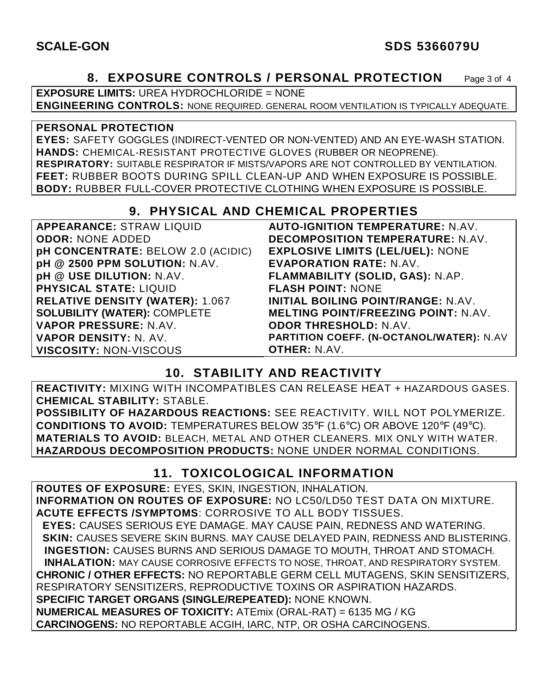### **SCALE-GON SDS 5366079U**

### **8. EXPOSURE CONTROLS / PERSONAL PROTECTION** Page 3 of 4

**EXPOSURE LIMITS:** UREA HYDROCHLORIDE = NONE **ENGINEERING CONTROLS:** NONE REQUIRED. GENERAL ROOM VENTILATION IS TYPICALLY ADEQUATE.

#### **PERSONAL PROTECTION**

**EYES:** SAFETY GOGGLES (INDIRECT-VENTED OR NON-VENTED) AND AN EYE-WASH STATION. **HANDS:** CHEMICAL-RESISTANT PROTECTIVE GLOVES (RUBBER OR NEOPRENE). **RESPIRATORY:** SUITABLE RESPIRATOR IF MISTS/VAPORS ARE NOT CONTROLLED BY VENTILATION. **FEET:** RUBBER BOOTS DURING SPILL CLEAN-UP AND WHEN EXPOSURE IS POSSIBLE. **BODY:** RUBBER FULL-COVER PROTECTIVE CLOTHING WHEN EXPOSURE IS POSSIBLE.

### **9. PHYSICAL AND CHEMICAL PROPERTIES**

| <b>APPEARANCE: STRAW LIQUID</b>           | <b>AUTO-IGNITION TEMPERATURE: N.AV.</b>    |
|-------------------------------------------|--------------------------------------------|
| <b>ODOR: NONE ADDED</b>                   | <b>DECOMPOSITION TEMPERATURE: N.AV.</b>    |
| <b>pH CONCENTRATE: BELOW 2.0 (ACIDIC)</b> | <b>EXPLOSIVE LIMITS (LEL/UEL): NONE</b>    |
| pH @ 2500 PPM SOLUTION: N.AV.             | <b>EVAPORATION RATE: N.AV.</b>             |
| pH @ USE DILUTION: N.AV.                  | FLAMMABILITY (SOLID, GAS): N.AP.           |
| <b>PHYSICAL STATE: LIQUID</b>             | <b>FLASH POINT: NONE</b>                   |
| <b>RELATIVE DENSITY (WATER): 1.067</b>    | <b>INITIAL BOILING POINT/RANGE: N.AV.</b>  |
| <b>SOLUBILITY (WATER): COMPLETE</b>       | <b>MELTING POINT/FREEZING POINT: N.AV.</b> |
| <b>VAPOR PRESSURE: N.AV.</b>              | <b>ODOR THRESHOLD: N.AV.</b>               |
| <b>VAPOR DENSITY: N. AV.</b>              | PARTITION COEFF. (N-OCTANOL/WATER): N.AV   |
| <b>VISCOSITY: NON-VISCOUS</b>             | <b>OTHER: N.AV.</b>                        |

## **10. STABILITY AND REACTIVITY**

**REACTIVITY:** MIXING WITH INCOMPATIBLES CAN RELEASE HEAT + HAZARDOUS GASES. **CHEMICAL STABILITY:** STABLE.

**POSSIBILITY OF HAZARDOUS REACTIONS:** SEE REACTIVITY. WILL NOT POLYMERIZE. **CONDITIONS TO AVOID:** TEMPERATURES BELOW 35°F (1.6°C) OR ABOVE 120°F (49°C). **MATERIALS TO AVOID:** BLEACH, METAL AND OTHER CLEANERS. MIX ONLY WITH WATER. **HAZARDOUS DECOMPOSITION PRODUCTS:** NONE UNDER NORMAL CONDITIONS.

## **11. TOXICOLOGICAL INFORMATION**

**ROUTES OF EXPOSURE:** EYES, SKIN, INGESTION, INHALATION. **INFORMATION ON ROUTES OF EXPOSURE:** NO LC50/LD50 TEST DATA ON MIXTURE. **ACUTE EFFECTS /SYMPTOMS**: CORROSIVE TO ALL BODY TISSUES.  **EYES:** CAUSES SERIOUS EYE DAMAGE. MAY CAUSE PAIN, REDNESS AND WATERING.  **SKIN:** CAUSES SEVERE SKIN BURNS. MAY CAUSE DELAYED PAIN, REDNESS AND BLISTERING. **INGESTION:** CAUSES BURNS AND SERIOUS DAMAGE TO MOUTH, THROAT AND STOMACH. **INHALATION:** MAY CAUSE CORROSIVE EFFECTS TO NOSE, THROAT, AND RESPIRATORY SYSTEM. **CHRONIC / OTHER EFFECTS:** NO REPORTABLE GERM CELL MUTAGENS, SKIN SENSITIZERS, RESPIRATORY SENSITIZERS, REPRODUCTIVE TOXINS OR ASPIRATION HAZARDS. **SPECIFIC TARGET ORGANS (SINGLE/REPEATED):** NONE KNOWN. **NUMERICAL MEASURES OF TOXICITY:** ATEmix (ORAL-RAT) = 6135 MG / KG **CARCINOGENS:** NO REPORTABLE ACGIH, IARC, NTP, OR OSHA CARCINOGENS.